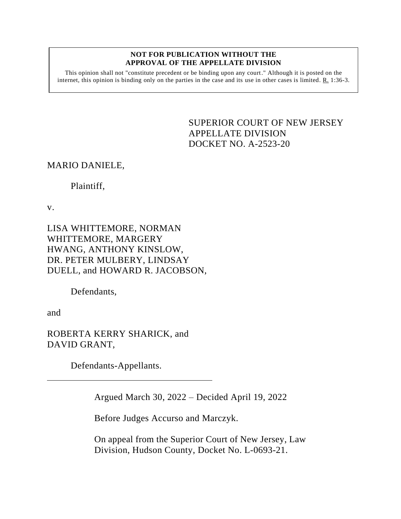## **NOT FOR PUBLICATION WITHOUT THE APPROVAL OF THE APPELLATE DIVISION**

This opinion shall not "constitute precedent or be binding upon any court." Although it is posted on the internet, this opinion is binding only on the parties in the case and its use in other cases is limited.  $R_1$  1:36-3.

> <span id="page-0-0"></span>SUPERIOR COURT OF NEW JERSEY APPELLATE DIVISION DOCKET NO. A-2523-20

## MARIO DANIELE,

Plaintiff,

v.

LISA WHITTEMORE, NORMAN WHITTEMORE, MARGERY HWANG, ANTHONY KINSLOW, DR. PETER MULBERY, LINDSAY DUELL, and HOWARD R. JACOBSON,

Defendants,

and

ROBERTA KERRY SHARICK, and DAVID GRANT,

Defendants-Appellants.

Argued March 30, 2022 – Decided April 19, 2022

Before Judges Accurso and Marczyk.

On appeal from the Superior Court of New Jersey, Law Division, Hudson County, Docket No. L-0693-21.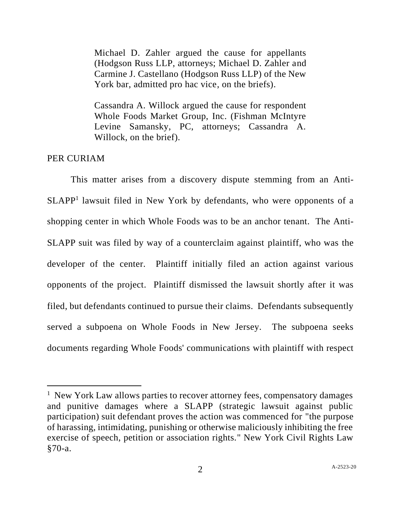Michael D. Zahler argued the cause for appellants (Hodgson Russ LLP, attorneys; Michael D. Zahler and Carmine J. Castellano (Hodgson Russ LLP) of the New York bar, admitted pro hac vice, on the briefs).

Cassandra A. Willock argued the cause for respondent Whole Foods Market Group, Inc. (Fishman McIntyre Levine Samansky, PC, attorneys; Cassandra A. Willock, on the brief).

## PER CURIAM

This matter arises from a discovery dispute stemming from an Anti-SLAPP<sup>1</sup> lawsuit filed in New York by defendants, who were opponents of a shopping center in which Whole Foods was to be an anchor tenant. The Anti-SLAPP suit was filed by way of a counterclaim against plaintiff, who was the developer of the center. Plaintiff initially filed an action against various opponents of the project. Plaintiff dismissed the lawsuit shortly after it was filed, but defendants continued to pursue their claims. Defendants subsequently served a subpoena on Whole Foods in New Jersey. The subpoena seeks documents regarding Whole Foods' communications with plaintiff with respect

<sup>&</sup>lt;sup>1</sup> New York Law allows parties to recover attorney fees, compensatory damages and punitive damages where a SLAPP (strategic lawsuit against public participation) suit defendant proves the action was commenced for "the purpose of harassing, intimidating, punishing or otherwise maliciously inhibiting the free exercise of speech, petition or association rights." New York Civil Rights Law §70-a.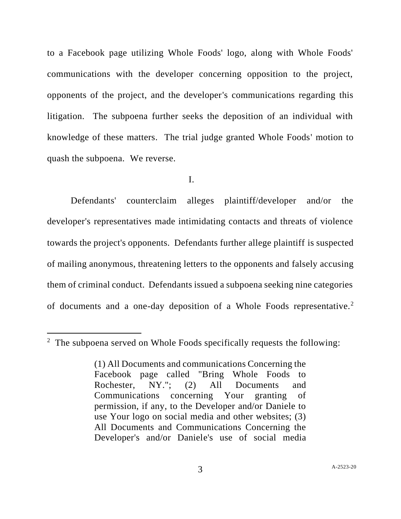to a Facebook page utilizing Whole Foods' logo, along with Whole Foods' communications with the developer concerning opposition to the project, opponents of the project, and the developer's communications regarding this litigation. The subpoena further seeks the deposition of an individual with knowledge of these matters. The trial judge granted Whole Foods' motion to quash the subpoena. We reverse.

I.

Defendants' counterclaim alleges plaintiff/developer and/or the developer's representatives made intimidating contacts and threats of violence towards the project's opponents. Defendants further allege plaintiff is suspected of mailing anonymous, threatening letters to the opponents and falsely accusing them of criminal conduct. Defendants issued a subpoena seeking nine categories of documents and a one-day deposition of a Whole Foods representative.<sup>2</sup>

 $2$  The subpoena served on Whole Foods specifically requests the following:

<sup>(1)</sup> All Documents and communications Concerning the Facebook page called "Bring Whole Foods to Rochester, NY."; (2) All Documents and Communications concerning Your granting of permission, if any, to the Developer and/or Daniele to use Your logo on social media and other websites; (3) All Documents and Communications Concerning the Developer's and/or Daniele's use of social media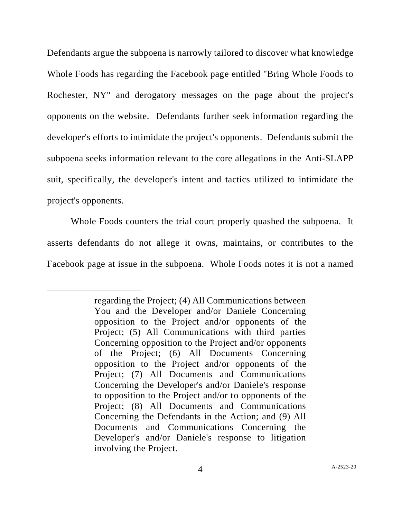Defendants argue the subpoena is narrowly tailored to discover what knowledge Whole Foods has regarding the Facebook page entitled "Bring Whole Foods to Rochester, NY" and derogatory messages on the page about the project's opponents on the website. Defendants further seek information regarding the developer's efforts to intimidate the project's opponents. Defendants submit the subpoena seeks information relevant to the core allegations in the Anti-SLAPP suit, specifically, the developer's intent and tactics utilized to intimidate the project's opponents.

Whole Foods counters the trial court properly quashed the subpoena. It asserts defendants do not allege it owns, maintains, or contributes to the Facebook page at issue in the subpoena. Whole Foods notes it is not a named

regarding the Project; (4) All Communications between You and the Developer and/or Daniele Concerning opposition to the Project and/or opponents of the Project; (5) All Communications with third parties Concerning opposition to the Project and/or opponents of the Project; (6) All Documents Concerning opposition to the Project and/or opponents of the Project; (7) All Documents and Communications Concerning the Developer's and/or Daniele's response to opposition to the Project and/or to opponents of the Project; (8) All Documents and Communications Concerning the Defendants in the Action; and (9) All Documents and Communications Concerning the Developer's and/or Daniele's response to litigation involving the Project.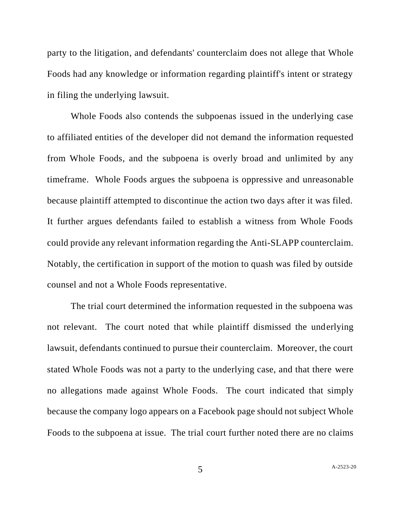party to the litigation, and defendants' counterclaim does not allege that Whole Foods had any knowledge or information regarding plaintiff's intent or strategy in filing the underlying lawsuit.

Whole Foods also contends the subpoenas issued in the underlying case to affiliated entities of the developer did not demand the information requested from Whole Foods, and the subpoena is overly broad and unlimited by any timeframe. Whole Foods argues the subpoena is oppressive and unreasonable because plaintiff attempted to discontinue the action two days after it was filed. It further argues defendants failed to establish a witness from Whole Foods could provide any relevant information regarding the Anti-SLAPP counterclaim. Notably, the certification in support of the motion to quash was filed by outside counsel and not a Whole Foods representative.

The trial court determined the information requested in the subpoena was not relevant. The court noted that while plaintiff dismissed the underlying lawsuit, defendants continued to pursue their counterclaim. Moreover, the court stated Whole Foods was not a party to the underlying case, and that there were no allegations made against Whole Foods. The court indicated that simply because the company logo appears on a Facebook page should not subject Whole Foods to the subpoena at issue. The trial court further noted there are no claims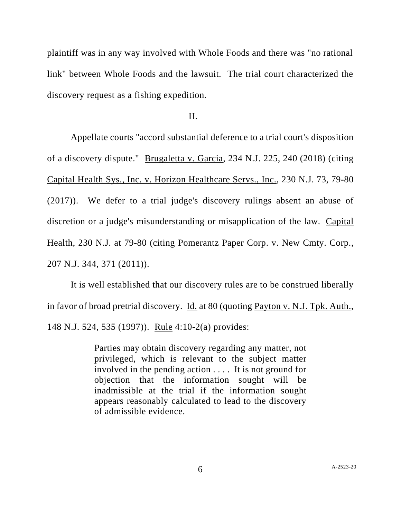plaintiff was in any way involved with Whole Foods and there was "no rational link" between Whole Foods and the lawsuit. The trial court characterized the discovery request as a fishing expedition.

II.

Appellate courts "accord substantial deference to a trial court's disposition of a discovery dispute." Brugaletta v. Garcia, 234 N.J. 225, 240 (2018) (citing Capital Health Sys., Inc. v. Horizon Healthcare Servs., Inc., 230 N.J. 73, 79-80 (2017)). We defer to a trial judge's discovery rulings absent an abuse of discretion or a judge's misunderstanding or misapplication of the law. Capital Health, 230 N.J. at 79-80 (citing Pomerantz Paper Corp. v. New Cmty. Corp., 207 N.J. 344, 371 (2011)).

It is well established that our discovery rules are to be construed liberally in favor of broad pretrial discovery. Id. at 80 (quoting Payton v. N.J. Tpk. Auth., 148 N.J. 524, 535 (1997)). <u>Rule</u> 4:10-2(a) provides:

> Parties may obtain discovery regarding any matter, not privileged, which is relevant to the subject matter involved in the pending action . . . . It is not ground for objection that the information sought will be inadmissible at the trial if the information sought appears reasonably calculated to lead to the discovery of admissible evidence.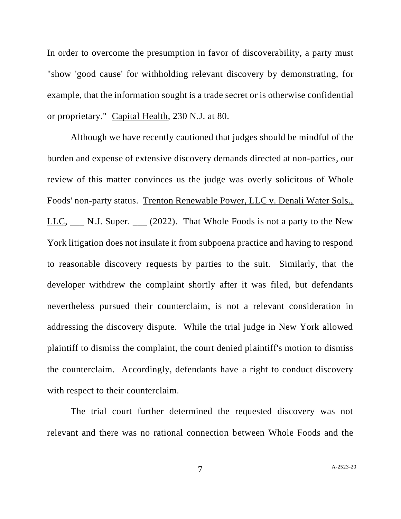In order to overcome the presumption in favor of discoverability, a party must "show 'good cause' for withholding relevant discovery by demonstrating, for example, that the information sought is a trade secret or is otherwise confidential or proprietary." Capital Health, 230 N.J. at 80.

Although we have recently cautioned that judges should be mindful of the burden and expense of extensive discovery demands directed at non-parties, our review of this matter convinces us the judge was overly solicitous of Whole Foods' non-party status. Trenton Renewable Power, LLC v. Denali Water Sols., LLC,  $\_\_$  N.J. Super.  $\_\_$  (2022). That Whole Foods is not a party to the New York litigation does not insulate it from subpoena practice and having to respond to reasonable discovery requests by parties to the suit. Similarly, that the developer withdrew the complaint shortly after it was filed, but defendants nevertheless pursued their counterclaim, is not a relevant consideration in addressing the discovery dispute. While the trial judge in New York allowed plaintiff to dismiss the complaint, the court denied plaintiff's motion to dismiss the counterclaim. Accordingly, defendants have a right to conduct discovery with respect to their counterclaim.

The trial court further determined the requested discovery was not relevant and there was no rational connection between Whole Foods and the

7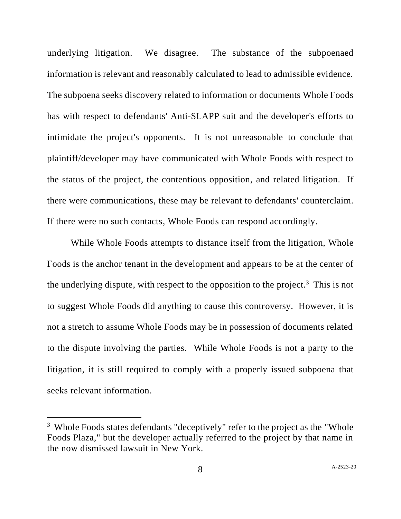underlying litigation. We disagree. The substance of the subpoenaed information is relevant and reasonably calculated to lead to admissible evidence. The subpoena seeks discovery related to information or documents Whole Foods has with respect to defendants' Anti-SLAPP suit and the developer's efforts to intimidate the project's opponents. It is not unreasonable to conclude that plaintiff/developer may have communicated with Whole Foods with respect to the status of the project, the contentious opposition, and related litigation. If there were communications, these may be relevant to defendants' counterclaim. If there were no such contacts, Whole Foods can respond accordingly.

While Whole Foods attempts to distance itself from the litigation, Whole Foods is the anchor tenant in the development and appears to be at the center of the underlying dispute, with respect to the opposition to the project.<sup>3</sup> This is not to suggest Whole Foods did anything to cause this controversy. However, it is not a stretch to assume Whole Foods may be in possession of documents related to the dispute involving the parties. While Whole Foods is not a party to the litigation, it is still required to comply with a properly issued subpoena that seeks relevant information.

 $3$  Whole Foods states defendants "deceptively" refer to the project as the "Whole" Foods Plaza," but the developer actually referred to the project by that name in the now dismissed lawsuit in New York.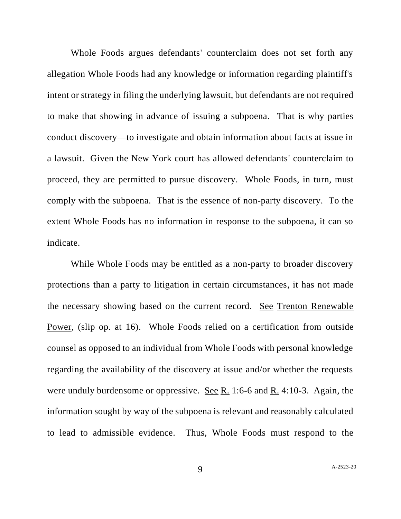Whole Foods argues defendants' counterclaim does not set forth any allegation Whole Foods had any knowledge or information regarding plaintiff's intent or strategy in filing the underlying lawsuit, but defendants are not required to make that showing in advance of issuing a subpoena. That is why parties conduct discovery—to investigate and obtain information about facts at issue in a lawsuit. Given the New York court has allowed defendants' counterclaim to proceed, they are permitted to pursue discovery. Whole Foods, in turn, must comply with the subpoena. That is the essence of non-party discovery. To the extent Whole Foods has no information in response to the subpoena, it can so indicate.

While Whole Foods may be entitled as a non-party to broader discovery protections than a party to litigation in certain circumstances, it has not made the necessary showing based on the current record. See Trenton Renewable Power, (slip op. at 16). Whole Foods relied on a certification from outside counsel as opposed to an individual from Whole Foods with personal knowledge regarding the availability of the discovery at issue and/or whether the requests were unduly burdensome or oppressive. See R. 1:6-6 and R. 4:10-3. Again, the information sought by way of the subpoena is relevant and reasonably calculated to lead to admissible evidence. Thus, Whole Foods must respond to the